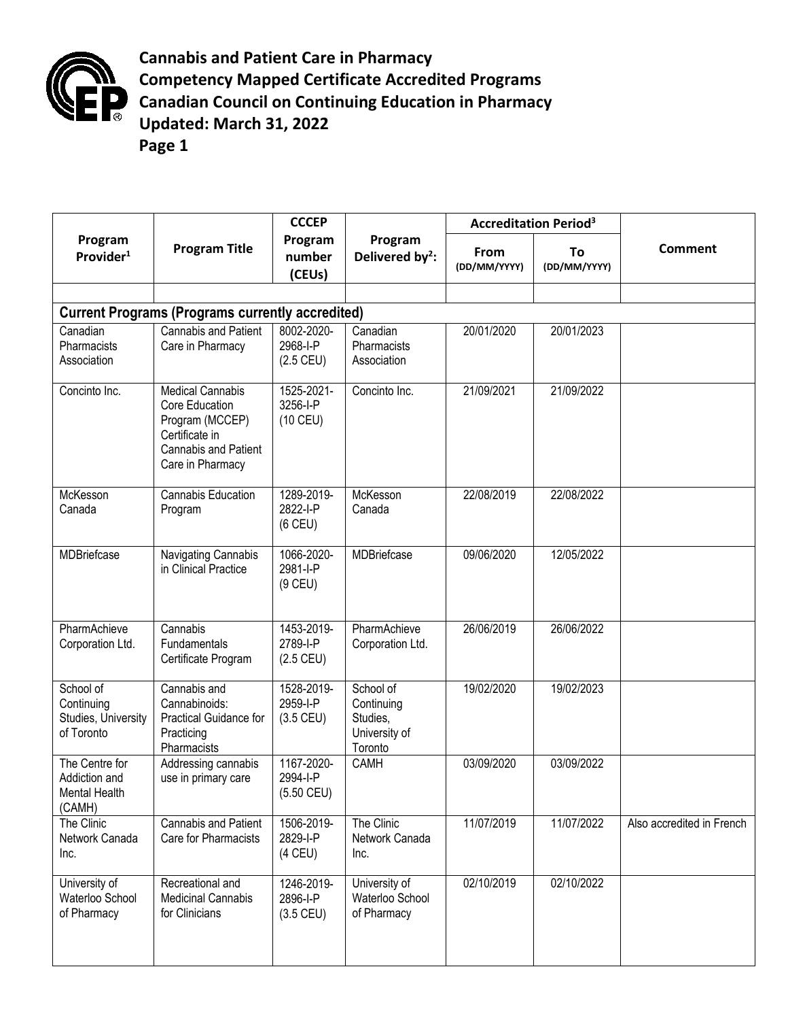

**Cannabis and Patient Care in Pharmacy Competency Mapped Certificate Accredited Programs Canadian Council on Continuing Education in Pharmacy Updated: March 31, 2022 Page 1**

|                                                                   |                                                                                                                            | <b>CCCEP</b>                           |                                                                 | <b>Accreditation Period<sup>3</sup></b> |                    |                           |  |  |  |  |  |
|-------------------------------------------------------------------|----------------------------------------------------------------------------------------------------------------------------|----------------------------------------|-----------------------------------------------------------------|-----------------------------------------|--------------------|---------------------------|--|--|--|--|--|
| Program<br>Provider <sup>1</sup>                                  | <b>Program Title</b>                                                                                                       | Program<br>number<br>(CEUs)            | Program<br>Delivered by <sup>2</sup> :                          | From<br>(DD/MM/YYYY)                    | To<br>(DD/MM/YYYY) | <b>Comment</b>            |  |  |  |  |  |
|                                                                   |                                                                                                                            |                                        |                                                                 |                                         |                    |                           |  |  |  |  |  |
| <b>Current Programs (Programs currently accredited)</b>           |                                                                                                                            |                                        |                                                                 |                                         |                    |                           |  |  |  |  |  |
| Canadian<br>Pharmacists<br>Association                            | Cannabis and Patient<br>Care in Pharmacy                                                                                   | 8002-2020-<br>2968-I-P<br>$(2.5$ CEU)  | Canadian<br>Pharmacists<br>Association                          | 20/01/2020                              | 20/01/2023         |                           |  |  |  |  |  |
| Concinto Inc.                                                     | <b>Medical Cannabis</b><br>Core Education<br>Program (MCCEP)<br>Certificate in<br>Cannabis and Patient<br>Care in Pharmacy | 1525-2021-<br>3256-I-P<br>$(10$ CEU)   | Concinto Inc.                                                   | 21/09/2021                              | 21/09/2022         |                           |  |  |  |  |  |
| McKesson<br>Canada                                                | Cannabis Education<br>Program                                                                                              | 1289-2019-<br>2822-I-P<br>$(6$ CEU)    | McKesson<br>Canada                                              | 22/08/2019                              | 22/08/2022         |                           |  |  |  |  |  |
| <b>MDBriefcase</b>                                                | Navigating Cannabis<br>in Clinical Practice                                                                                | 1066-2020-<br>2981-I-P<br>$(9$ CEU)    | MDBriefcase                                                     | 09/06/2020                              | 12/05/2022         |                           |  |  |  |  |  |
| PharmAchieve<br>Corporation Ltd.                                  | Cannabis<br>Fundamentals<br>Certificate Program                                                                            | 1453-2019-<br>2789-I-P<br>$(2.5$ CEU)  | PharmAchieve<br>Corporation Ltd.                                | 26/06/2019                              | 26/06/2022         |                           |  |  |  |  |  |
| School of<br>Continuing<br>Studies, University<br>of Toronto      | Cannabis and<br>Cannabinoids:<br>Practical Guidance for<br>Practicing<br>Pharmacists                                       | 1528-2019-<br>2959-I-P<br>$(3.5$ CEU)  | School of<br>Continuing<br>Studies,<br>University of<br>Toronto | 19/02/2020                              | 19/02/2023         |                           |  |  |  |  |  |
| The Centre for<br>Addiction and<br><b>Mental Health</b><br>(CAMH) | Addressing cannabis<br>use in primary care                                                                                 | 1167-2020-<br>2994-I-P<br>$(5.50$ CEU) | CAMH                                                            | 03/09/2020                              | 03/09/2022         |                           |  |  |  |  |  |
| The Clinic<br>Network Canada<br>Inc.                              | Cannabis and Patient<br>Care for Pharmacists                                                                               | 1506-2019-<br>2829-I-P<br>$(4$ CEU)    | The Clinic<br>Network Canada<br>Inc.                            | 11/07/2019                              | 11/07/2022         | Also accredited in French |  |  |  |  |  |
| University of<br>Waterloo School<br>of Pharmacy                   | Recreational and<br><b>Medicinal Cannabis</b><br>for Clinicians                                                            | 1246-2019-<br>2896-I-P<br>$(3.5$ CEU)  | University of<br>Waterloo School<br>of Pharmacy                 | 02/10/2019                              | 02/10/2022         |                           |  |  |  |  |  |